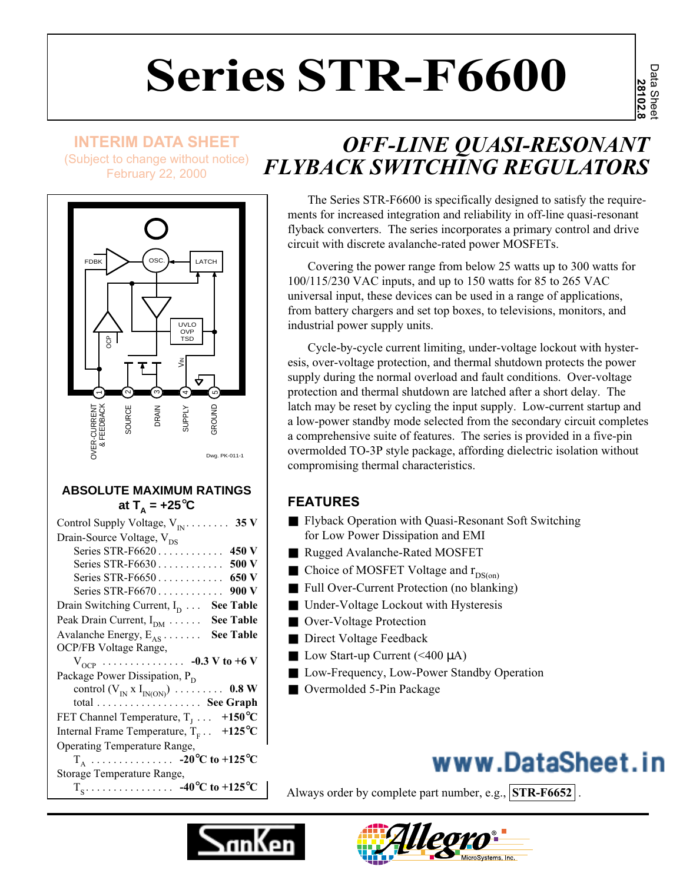# **Series STR-F6600**

Data Sheet **28102.8**

# **INTERIM DATA SHEET**

(Subject to change without notice) February 22, 2000



#### **ABSOLUTE MAXIMUM RATINGS** at  $T_A = +25^\circ \text{C}$

| Control Supply Voltage, $V_{IN}$ 35 V                                                                 |
|-------------------------------------------------------------------------------------------------------|
| Drain-Source Voltage, V <sub>DS</sub>                                                                 |
| 450 V<br>Series STR-F6620                                                                             |
| 500 V<br>Series STR-F6630                                                                             |
| 650 V<br>Series STR-F6650                                                                             |
| Series STR-F6670 900 V                                                                                |
| Drain Switching Current, $I_D$<br><b>See Table</b>                                                    |
| <b>See Table</b><br>Peak Drain Current, $I_{DM}$                                                      |
| Avalanche Energy, $E_{AS}$<br><b>See Table</b>                                                        |
| OCP/FB Voltage Range,                                                                                 |
|                                                                                                       |
|                                                                                                       |
| $V_{OCP}$ -0.3 V to +6 V<br>Package Power Dissipation, P <sub>D</sub>                                 |
|                                                                                                       |
|                                                                                                       |
|                                                                                                       |
| FET Channel Temperature, $T_1 \ldots$ +150°C<br>$+125^{\circ}$ C<br>Internal Frame Temperature, $T_F$ |
| Operating Temperature Range,                                                                          |
| $T_A$ -20°C to +125°C                                                                                 |
| Storage Temperature Range,                                                                            |

# *OFF-LINE QUASI-RESONANT FLYBACK SWITCHING REGULATORS*

The Series STR-F6600 is specifically designed to satisfy the requirements for increased integration and reliability in off-line quasi-resonant flyback converters. The series incorporates a primary control and drive circuit with discrete avalanche-rated power MOSFETs.

Covering the power range from below 25 watts up to 300 watts for 100/115/230 VAC inputs, and up to 150 watts for 85 to 265 VAC universal input, these devices can be used in a range of applications, from battery chargers and set top boxes, to televisions, monitors, and industrial power supply units.

Cycle-by-cycle current limiting, under-voltage lockout with hysteresis, over-voltage protection, and thermal shutdown protects the power supply during the normal overload and fault conditions. Over-voltage protection and thermal shutdown are latched after a short delay. The latch may be reset by cycling the input supply. Low-current startup and a low-power standby mode selected from the secondary circuit completes a comprehensive suite of features. The series is provided in a five-pin overmolded TO-3P style package, affording dielectric isolation without compromising thermal characteristics.

# **FEATURES**

- Flyback Operation with Quasi-Resonant Soft Switching for Low Power Dissipation and EMI
- Rugged Avalanche-Rated MOSFET
- Choice of MOSFET Voltage and  $r_{DS(on)}$
- Full Over-Current Protection (no blanking)
- Under-Voltage Lockout with Hysteresis
- Over-Voltage Protection
- Direct Voltage Feedback
- Low Start-up Current  $(\leq 400 \mu A)$
- Low-Frequency, Low-Power Standby Operation
- Overmolded 5-Pin Package

# www.DataSheet.in

Always order by complete part number, e.g., **STR-F6652** .



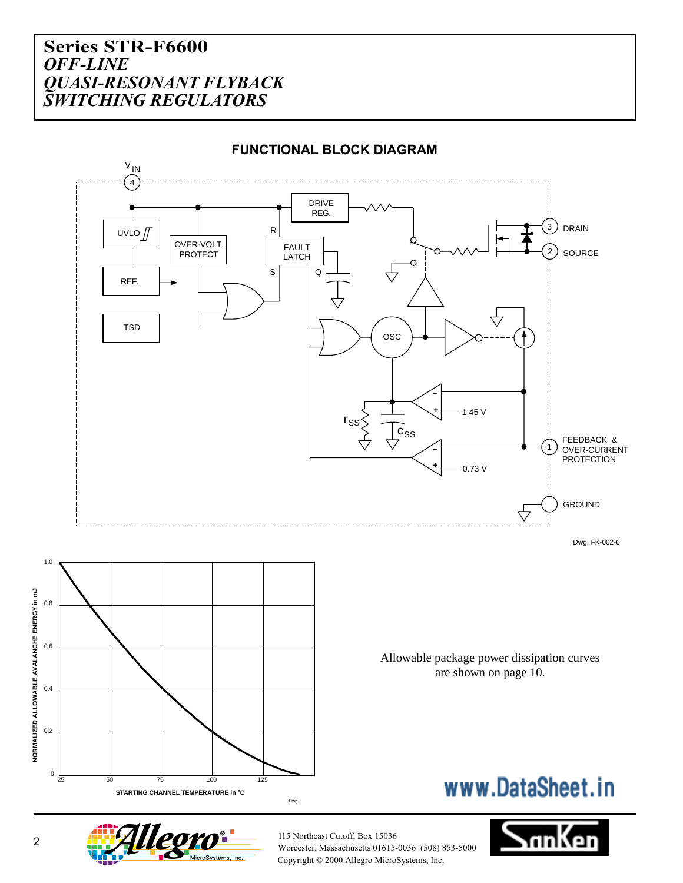

#### **FUNCTIONAL BLOCK DIAGRAM**

Worcester, Massachusetts 01615-0036 (508) 853-5000 Copyright © 2000 Allegro MicroSystems, Inc.

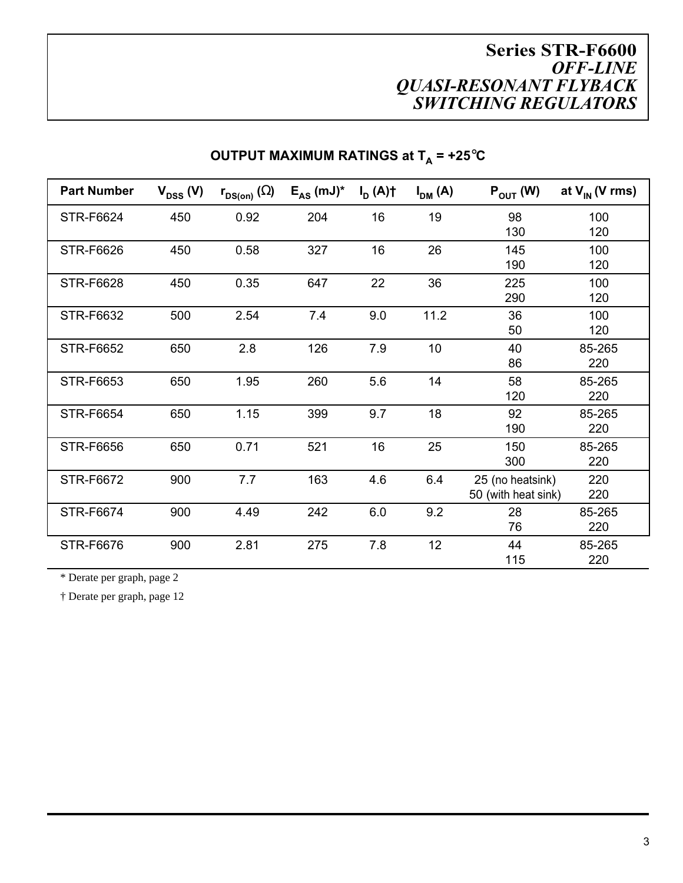| <b>Part Number</b> | $V_{DSS}$ (V) | $r_{DS(on)}(\Omega)$ | $E_{AS}$ (mJ) <sup>*</sup> | $I_{\text{D}}(A)$ | $I_{DM}(A)$ | $P_{\text{OUT}}(W)$ | at $V_{IN}$ (V rms) |
|--------------------|---------------|----------------------|----------------------------|-------------------|-------------|---------------------|---------------------|
| STR-F6624          | 450           | 0.92                 | 204                        | 16                | 19          | 98<br>130           | 100<br>120          |
|                    |               |                      |                            |                   |             |                     |                     |
| <b>STR-F6626</b>   | 450           | 0.58                 | 327                        | 16                | 26          | 145<br>190          | 100<br>120          |
| <b>STR-F6628</b>   | 450           | 0.35                 | 647                        | 22                | 36          | 225                 | 100                 |
|                    |               |                      |                            |                   |             | 290                 | 120                 |
| STR-F6632          | 500           | 2.54                 | 7.4                        | 9.0               | 11.2        | 36                  | 100                 |
|                    |               |                      |                            |                   |             | 50                  | 120                 |
| <b>STR-F6652</b>   | 650           | 2.8                  | 126                        | 7.9               | 10          | 40                  | 85-265              |
|                    |               |                      |                            |                   |             | 86                  | 220                 |
| STR-F6653          | 650           | 1.95                 | 260                        | 5.6               | 14          | 58                  | 85-265              |
|                    |               |                      |                            |                   |             | 120                 | 220                 |
| <b>STR-F6654</b>   | 650           | 1.15                 | 399                        | 9.7               | 18          | 92                  | 85-265              |
|                    |               |                      |                            |                   |             | 190                 | 220                 |
| <b>STR-F6656</b>   | 650           | 0.71                 | 521                        | 16                | 25          | 150                 | 85-265              |
|                    |               |                      |                            |                   |             | 300                 | 220                 |
| <b>STR-F6672</b>   | 900           | 7.7                  | 163                        | 4.6               | 6.4         | 25 (no heatsink)    | 220                 |
|                    |               |                      |                            |                   |             | 50 (with heat sink) | 220                 |
| <b>STR-F6674</b>   | 900           | 4.49                 | 242                        | 6.0               | 9.2         | 28                  | 85-265              |
|                    |               |                      |                            |                   |             | 76                  | 220                 |
| <b>STR-F6676</b>   | 900           | 2.81                 | 275                        | 7.8               | 12          | 44                  | 85-265              |
|                    |               |                      |                            |                   |             | 115                 | 220                 |

# **OUTPUT MAXIMUM RATINGS at**  $T_A$  **= +25°C**

\* Derate per graph, page 2

† Derate per graph, page 12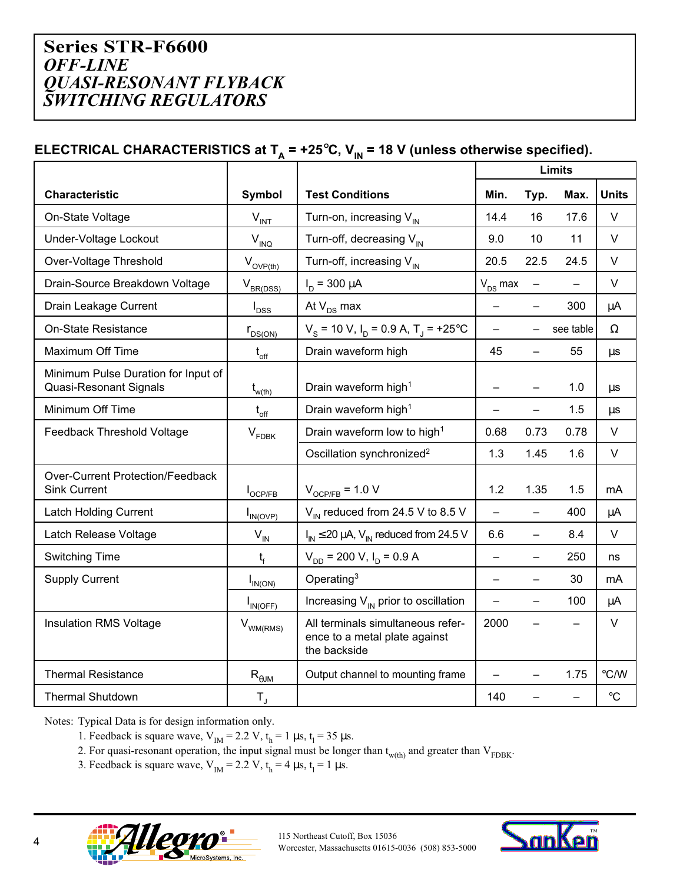# **ELECTRICAL CHARACTERISTICS at T<sub>A</sub> = +25°C, V<sub>IN</sub> = 18 V (unless otherwise specified).**

|                                                                      |                            |                                                                                    | <b>Limits</b>            |                          |           |                 |  |
|----------------------------------------------------------------------|----------------------------|------------------------------------------------------------------------------------|--------------------------|--------------------------|-----------|-----------------|--|
| <b>Characteristic</b>                                                | <b>Symbol</b>              | <b>Test Conditions</b>                                                             | Min.                     | Typ.                     | Max.      | <b>Units</b>    |  |
| On-State Voltage                                                     | $V_{INT}$                  | Turn-on, increasing $V_{IN}$                                                       | 14.4                     | 16                       | 17.6      | V               |  |
| Under-Voltage Lockout                                                | $V_{\text{INQ}}$           | Turn-off, decreasing $V_{IN}$                                                      | 9.0                      | 10                       | 11        | V               |  |
| Over-Voltage Threshold                                               | $V_{\text{OVP(th)}}$       | Turn-off, increasing $V_{IN}$                                                      | 20.5                     | 22.5                     | 24.5      | $\vee$          |  |
| Drain-Source Breakdown Voltage                                       | $V_{BR(DSS)}$              | $I_D = 300 \mu A$                                                                  | $V_{DS}$ max             | $\equiv$                 |           | $\vee$          |  |
| Drain Leakage Current                                                | $I_{DSS}$                  | At $V_{DS}$ max                                                                    | $\equiv$                 | $\overline{\phantom{0}}$ | 300       | μA              |  |
| <b>On-State Resistance</b>                                           | $r_{DS(ON)}$               | $V_s$ = 10 V, $I_p$ = 0.9 A, T <sub>J</sub> = +25°C                                | $\equiv$                 |                          | see table | $\Omega$        |  |
| <b>Maximum Off Time</b>                                              | $t_{\rm off}$              | Drain waveform high                                                                | 45                       | $\overline{\phantom{0}}$ | 55        | μs              |  |
| Minimum Pulse Duration for Input of<br><b>Quasi-Resonant Signals</b> | $t_{w(th)}$                | Drain waveform high <sup>1</sup>                                                   |                          |                          | 1.0       | μs              |  |
| Minimum Off Time                                                     | $t_{\rm off}$              | Drain waveform high <sup>1</sup>                                                   | $\overline{\phantom{0}}$ | $\overline{\phantom{0}}$ | 1.5       | μs              |  |
| Feedback Threshold Voltage                                           | $V_{FDBK}$                 | Drain waveform low to high <sup>1</sup>                                            | 0.68                     | 0.73                     | 0.78      | $\vee$          |  |
|                                                                      |                            | Oscillation synchronized <sup>2</sup>                                              | 1.3                      | 1.45                     | 1.6       | $\vee$          |  |
| <b>Over-Current Protection/Feedback</b><br><b>Sink Current</b>       | $I_{OCP/FB}$               | $V_{OCP/FB}$ = 1.0 V                                                               | 1.2                      | 1.35                     | 1.5       | mA              |  |
| <b>Latch Holding Current</b>                                         | $I_{IN(OVP)}$              | $V_{\text{IN}}$ reduced from 24.5 V to 8.5 V                                       | $\equiv$                 | $\overline{\phantom{0}}$ | 400       | μA              |  |
| Latch Release Voltage                                                | $\mathsf{V}_{\mathsf{IN}}$ | $I_{IN} \le 20 \mu A$ , $V_{IN}$ reduced from 24.5 V                               | 6.6                      | $\equiv$                 | 8.4       | $\vee$          |  |
| <b>Switching Time</b>                                                | $t_{f}$                    | $V_{DD}$ = 200 V, I <sub>D</sub> = 0.9 A                                           | $\equiv$                 | $\overline{\phantom{0}}$ | 250       | ns              |  |
| <b>Supply Current</b>                                                | $I_{IN(ON)}$               | Operating <sup>3</sup>                                                             | $\equiv$                 | $\overline{\phantom{0}}$ | 30        | mA              |  |
|                                                                      | $I_{IN(OFF)}$              | Increasing $V_{\text{IN}}$ prior to oscillation                                    | $\qquad \qquad -$        |                          | 100       | μA              |  |
| <b>Insulation RMS Voltage</b>                                        | $V_{WM(RMS)}$              | All terminals simultaneous refer-<br>ence to a metal plate against<br>the backside | 2000                     |                          |           | $\vee$          |  |
| <b>Thermal Resistance</b>                                            | $R_{\theta JM}$            | Output channel to mounting frame                                                   | $\qquad \qquad -$        |                          | 1.75      | °C/W            |  |
| <b>Thermal Shutdown</b>                                              | $T_{\rm J}$                |                                                                                    | 140                      |                          |           | $\rm ^{\circ}C$ |  |

Notes: Typical Data is for design information only.

1. Feedback is square wave,  $V_{IM} = 2.2 V$ ,  $t_h = 1 \mu s$ ,  $t_l = 35 \mu s$ .

2. For quasi-resonant operation, the input signal must be longer than  $t_{w(th)}$  and greater than  $V_{FDBK}$ .

3. Feedback is square wave,  $V_{IM} = 2.2 V$ ,  $t_h = 4 \mu s$ ,  $t_l = 1 \mu s$ .



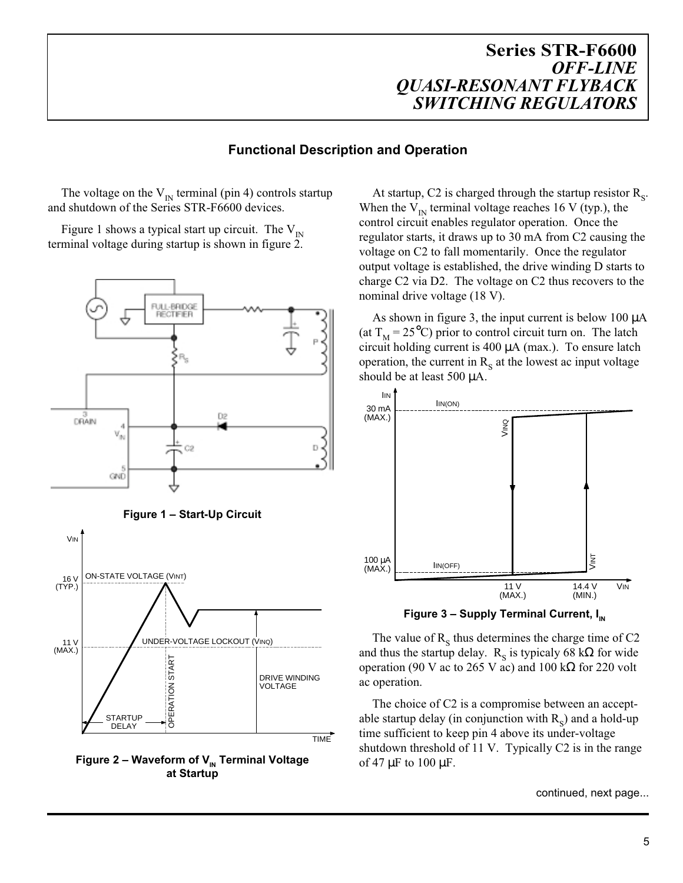#### **Functional Description and Operation**

The voltage on the  $V_{IN}$  terminal (pin 4) controls startup and shutdown of the Series STR-F6600 devices.

Figure 1 shows a typical start up circuit. The  $V_{IN}$ terminal voltage during startup is shown in figure 2.



**Figure 2 – Waveform of V<sub>IN</sub> Terminal Voltage at Startup**

At startup, C2 is charged through the startup resistor  $R_s$ . When the  $V_{IN}$  terminal voltage reaches 16 V (typ.), the control circuit enables regulator operation. Once the regulator starts, it draws up to 30 mA from C2 causing the voltage on C2 to fall momentarily. Once the regulator output voltage is established, the drive winding D starts to charge C2 via D2. The voltage on C2 thus recovers to the nominal drive voltage (18 V).

As shown in figure 3, the input current is below 100  $\mu$ A (at  $T_M = 25^{\circ}\text{C}$ ) prior to control circuit turn on. The latch circuit holding current is  $400 \mu A$  (max.). To ensure latch operation, the current in  $R<sub>s</sub>$  at the lowest ac input voltage should be at least 500  $\mu$ A.



**Figure 3 – Supply Terminal Current, I<sub>N</sub>** 

The value of  $R<sub>s</sub>$  thus determines the charge time of C2 and thus the startup delay. R<sub>s</sub> is typicaly 68 k $\Omega$  for wide operation (90 V ac to 265 V ac) and 100 k $\Omega$  for 220 volt ac operation.

The choice of C2 is a compromise between an acceptable startup delay (in conjunction with  $R<sub>s</sub>$ ) and a hold-up time sufficient to keep pin 4 above its under-voltage shutdown threshold of 11 V. Typically C2 is in the range of 47  $\mu$ F to 100  $\mu$ F.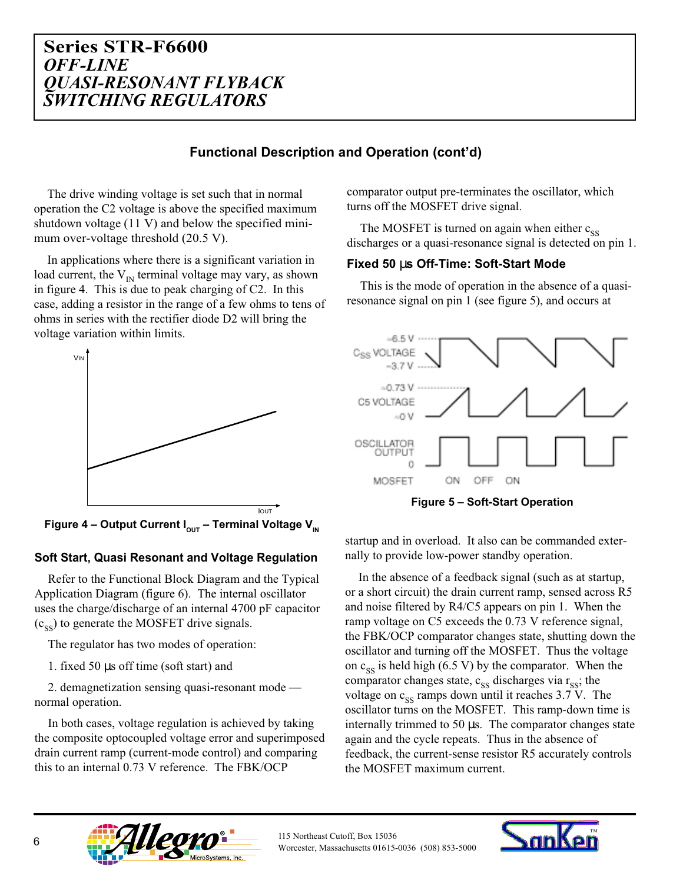#### **Functional Description and Operation (cont'd)**

The drive winding voltage is set such that in normal operation the C2 voltage is above the specified maximum shutdown voltage (11 V) and below the specified minimum over-voltage threshold (20.5 V).

In applications where there is a significant variation in load current, the  $V_{IN}$  terminal voltage may vary, as shown in figure 4. This is due to peak charging of C2. In this case, adding a resistor in the range of a few ohms to tens of ohms in series with the rectifier diode D2 will bring the voltage variation within limits.



**Figure 4 – Output Current I<sub>out</sub> – Terminal Voltage V<sub>IN</sub>** 

#### **Soft Start, Quasi Resonant and Voltage Regulation**

Refer to the Functional Block Diagram and the Typical Application Diagram (figure 6). The internal oscillator uses the charge/discharge of an internal 4700 pF capacitor  $(c_{\rm ss})$  to generate the MOSFET drive signals.

The regulator has two modes of operation:

1. fixed 50 µs off time (soft start) and

2. demagnetization sensing quasi-resonant mode normal operation.

In both cases, voltage regulation is achieved by taking the composite optocoupled voltage error and superimposed drain current ramp (current-mode control) and comparing this to an internal 0.73 V reference. The FBK/OCP

comparator output pre-terminates the oscillator, which turns off the MOSFET drive signal.

The MOSFET is turned on again when either  $c_{ss}$ discharges or a quasi-resonance signal is detected on pin 1.

#### **Fixed 50** µ**s Off-Time: Soft-Start Mode**

This is the mode of operation in the absence of a quasiresonance signal on pin 1 (see figure 5), and occurs at



**Figure 5 – Soft-Start Operation**

startup and in overload. It also can be commanded externally to provide low-power standby operation.

In the absence of a feedback signal (such as at startup, or a short circuit) the drain current ramp, sensed across R5 and noise filtered by R4/C5 appears on pin 1. When the ramp voltage on C5 exceeds the 0.73 V reference signal, the FBK/OCP comparator changes state, shutting down the oscillator and turning off the MOSFET. Thus the voltage on  $c_{ss}$  is held high (6.5 V) by the comparator. When the comparator changes state,  $c_{ss}$  discharges via  $r_{ss}$ ; the voltage on  $c_{ss}$  ramps down until it reaches 3.7 V. The oscillator turns on the MOSFET. This ramp-down time is internally trimmed to 50 µs. The comparator changes state again and the cycle repeats. Thus in the absence of feedback, the current-sense resistor R5 accurately controls the MOSFET maximum current.



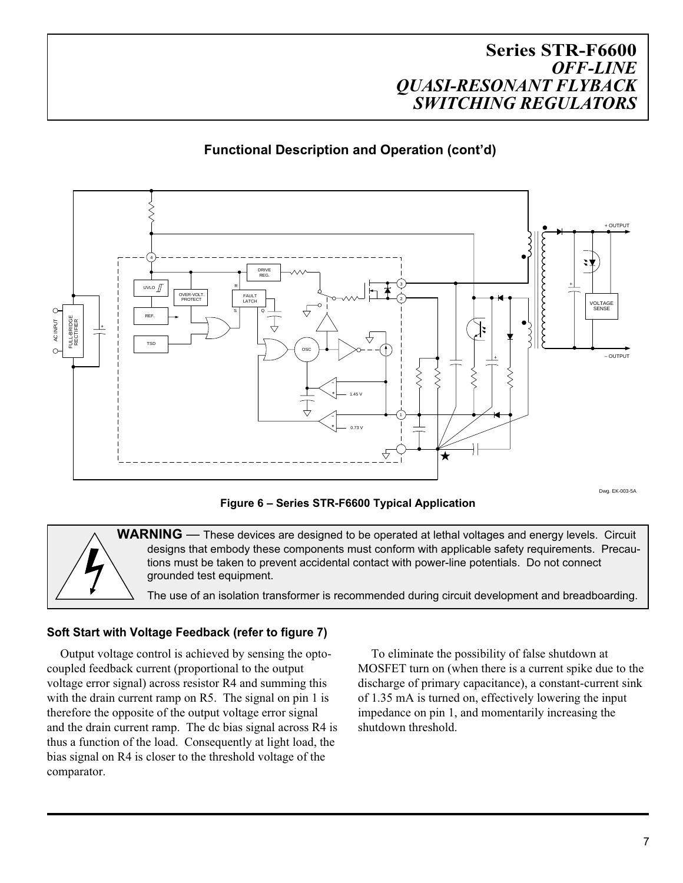# **Functional Description and Operation (cont'd)**



**Figure 6 – Series STR-F6600 Typical Application**

WARNING — These devices are designed to be operated at lethal voltages and energy levels. Circuit designs that embody these components must conform with applicable safety requirements. Precautions must be taken to prevent accidental contact with power-line potentials. Do not connect grounded test equipment.

The use of an isolation transformer is recommended during circuit development and breadboarding.

#### **Soft Start with Voltage Feedback (refer to figure 7)**

Output voltage control is achieved by sensing the optocoupled feedback current (proportional to the output voltage error signal) across resistor R4 and summing this with the drain current ramp on R5. The signal on pin 1 is therefore the opposite of the output voltage error signal and the drain current ramp. The dc bias signal across R4 is thus a function of the load. Consequently at light load, the bias signal on R4 is closer to the threshold voltage of the comparator.

To eliminate the possibility of false shutdown at MOSFET turn on (when there is a current spike due to the discharge of primary capacitance), a constant-current sink of 1.35 mA is turned on, effectively lowering the input impedance on pin 1, and momentarily increasing the shutdown threshold.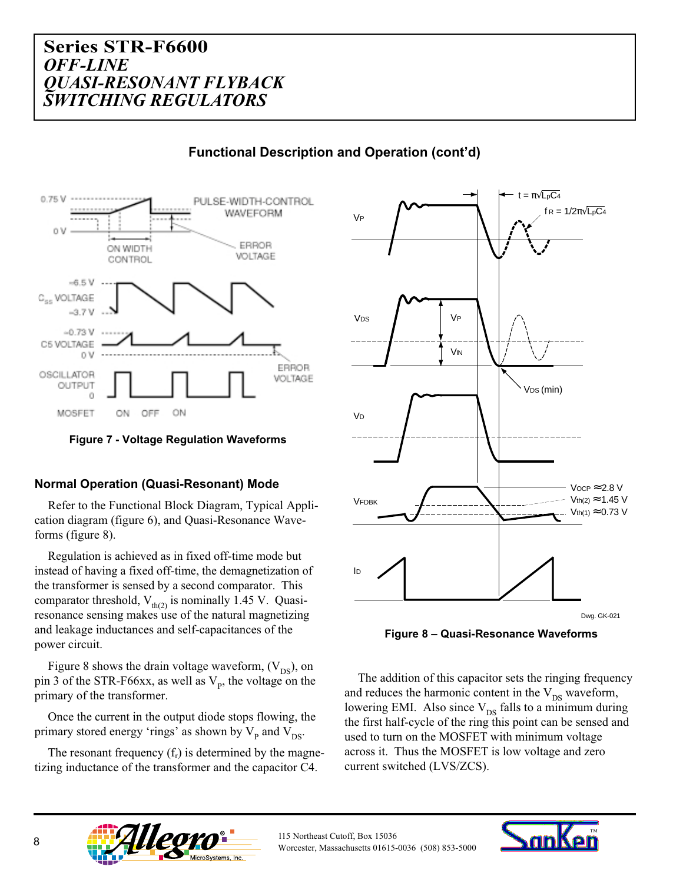

#### **Functional Description and Operation (cont'd)**



#### **Normal Operation (Quasi-Resonant) Mode**

Refer to the Functional Block Diagram, Typical Application diagram (figure 6), and Quasi-Resonance Waveforms (figure 8).

Regulation is achieved as in fixed off-time mode but instead of having a fixed off-time, the demagnetization of the transformer is sensed by a second comparator. This comparator threshold,  $V_{th(2)}$  is nominally 1.45 V. Quasiresonance sensing makes use of the natural magnetizing and leakage inductances and self-capacitances of the power circuit.

Figure 8 shows the drain voltage waveform,  $(V_{DS})$ , on pin 3 of the STR-F66xx, as well as  $V_p$ , the voltage on the primary of the transformer.

Once the current in the output diode stops flowing, the primary stored energy 'rings' as shown by  $V_{p}$  and  $V_{DS}$ .

The resonant frequency  $(f_r)$  is determined by the magnetizing inductance of the transformer and the capacitor C4.



**Figure 8 – Quasi-Resonance Waveforms**

The addition of this capacitor sets the ringing frequency and reduces the harmonic content in the  $V_{DS}$  waveform, lowering EMI. Also since  $V_{DS}$  falls to a minimum during the first half-cycle of the ring this point can be sensed and used to turn on the MOSFET with minimum voltage across it. Thus the MOSFET is low voltage and zero current switched (LVS/ZCS).



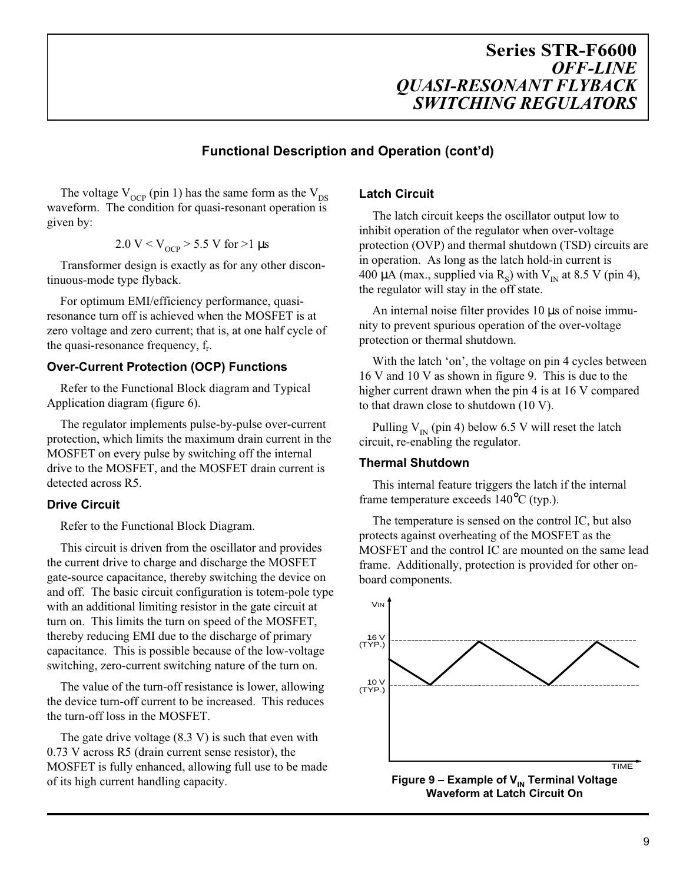#### **Functional Description and Operation (cont'd)**

The voltage  $V_{OCP}$  (pin 1) has the same form as the  $V_{DS}$ waveform. The condition for quasi-resonant operation is given by:

$$
2.0 \text{ V} < V_{OCP} > 5.5 \text{ V} \text{ for } > 1 \text{ µs}
$$

Transformer design is exactly as for any other discontinuous-mode type flyback.

For optimum EMI/efficiency performance, quasiresonance turn off is achieved when the MOSFET is at zero voltage and zero current; that is, at one half cycle of the quasi-resonance frequency, fr.

#### **Over-Current Protection (OCP) Functions**

Refer to the Functional Block diagram and Typical Application diagram (figure 6).

The regulator implements pulse-by-pulse over-current protection, which limits the maximum drain current in the MOSFET on every pulse by switching off the internal drive to the MOSFET, and the MOSFET drain current is detected across R5.

#### **Drive Circuit**

Refer to the Functional Block Diagram.

This circuit is driven from the oscillator and provides the current drive to charge and discharge the MOSFET gate-source capacitance, thereby switching the device on and off. The basic circuit configuration is totem-pole type with an additional limiting resistor in the gate circuit at turn on. This limits the turn on speed of the MOSFET, thereby reducing EMI due to the discharge of primary capacitance. This is possible because of the low-voltage switching, zero-current switching nature of the turn on.

The value of the turn-off resistance is lower, allowing the device turn-off current to be increased. This reduces the turn-off loss in the MOSFET.

The gate drive voltage  $(8.3 V)$  is such that even with 0.73 V across R5 (drain current sense resistor), the MOSFET is fully enhanced, allowing full use to be made of its high current handling capacity.

#### **Latch Circuit**

The latch circuit keeps the oscillator output low to inhibit operation of the regulator when over-voltage protection (OVP) and thermal shutdown (TSD) circuits are in operation. As long as the latch hold-in current is 400 µA (max., supplied via  $R_s$ ) with  $V_{IN}$  at 8.5 V (pin 4), the regulator will stay in the off state.

An internal noise filter provides 10 µs of noise immunity to prevent spurious operation of the over-voltage protection or thermal shutdown.

With the latch 'on', the voltage on pin 4 cycles between 16 V and 10 V as shown in figure 9. This is due to the higher current drawn when the pin 4 is at 16 V compared to that drawn close to shutdown (10 V).

Pulling  $V_{IN}$  (pin 4) below 6.5 V will reset the latch circuit, re-enabling the regulator.

#### **Thermal Shutdown**

This internal feature triggers the latch if the internal frame temperature exceeds 140°C (typ.).

The temperature is sensed on the control IC, but also protects against overheating of the MOSFET as the MOSFET and the control IC are mounted on the same lead frame. Additionally, protection is provided for other onboard components.



9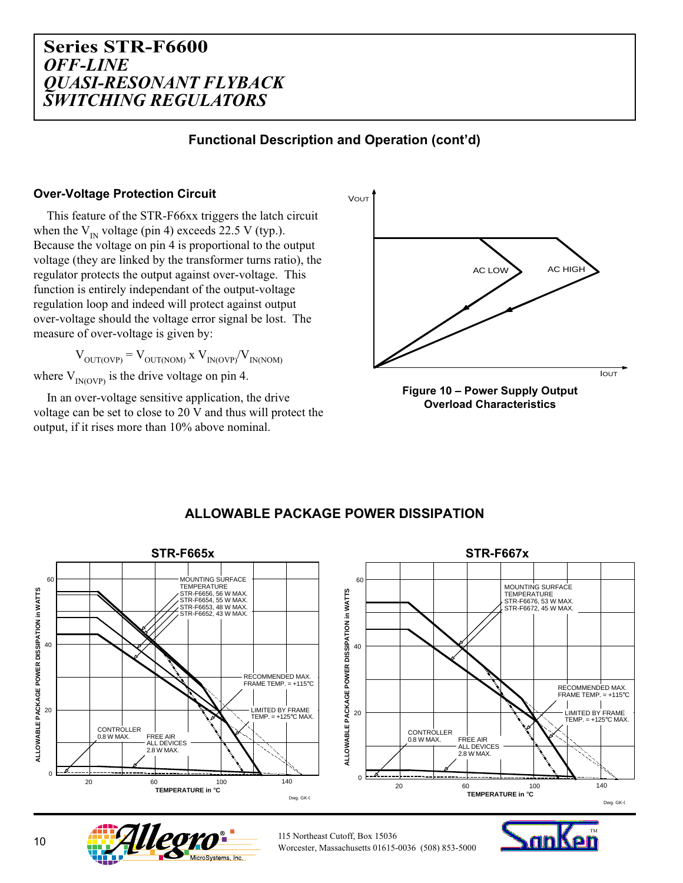## **Functional Description and Operation (cont'd)**

#### **Over-Voltage Protection Circuit**

This feature of the STR-F66xx triggers the latch circuit when the  $V_{IN}$  voltage (pin 4) exceeds 22.5 V (typ.). Because the voltage on pin 4 is proportional to the output voltage (they are linked by the transformer turns ratio), the regulator protects the output against over-voltage. This function is entirely independant of the output-voltage regulation loop and indeed will protect against output over-voltage should the voltage error signal be lost. The measure of over-voltage is given by:

 $V_{\text{OUT(OVP)}} = V_{\text{OUT(NOM)}}$  x  $V_{\text{IN(OVP)}}/V_{\text{IN(NOM)}}$ 

where  $V_{IN(OVP)}$  is the drive voltage on pin 4.

In an over-voltage sensitive application, the drive voltage can be set to close to 20 V and thus will protect the output, if it rises more than 10% above nominal.







## **ALLOWABLE PACKAGE POWER DISSIPATION**



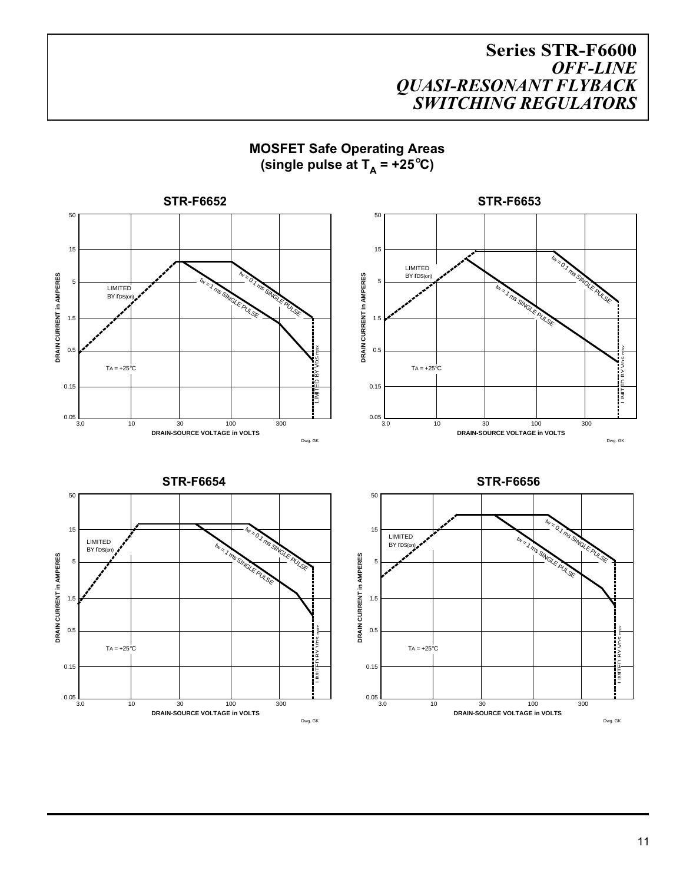**MOSFET Safe Operating Areas** (single pulse at  $T_A$  = +25°C)

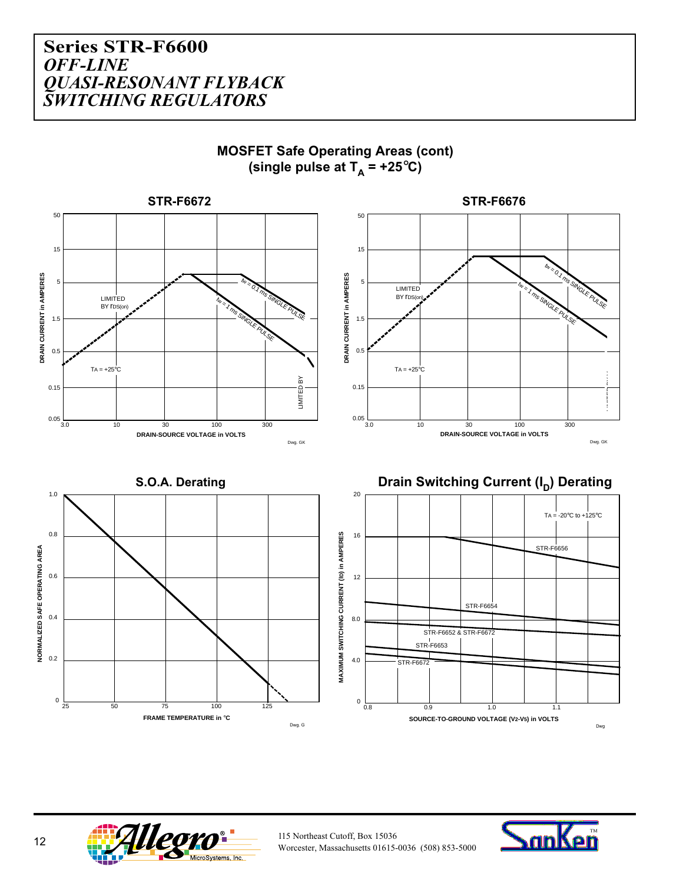





**.eo**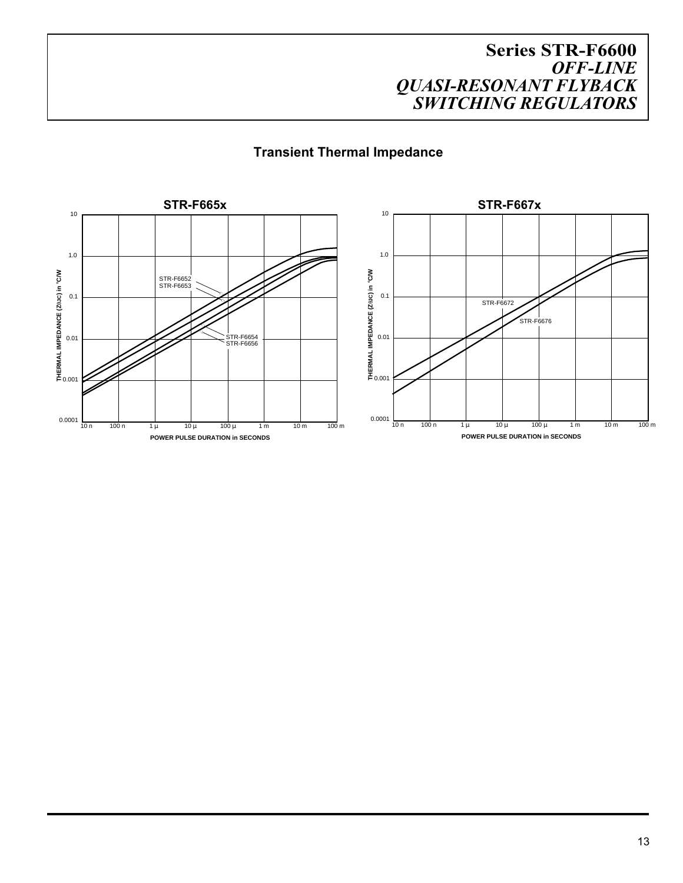## **Transient Thermal Impedance**

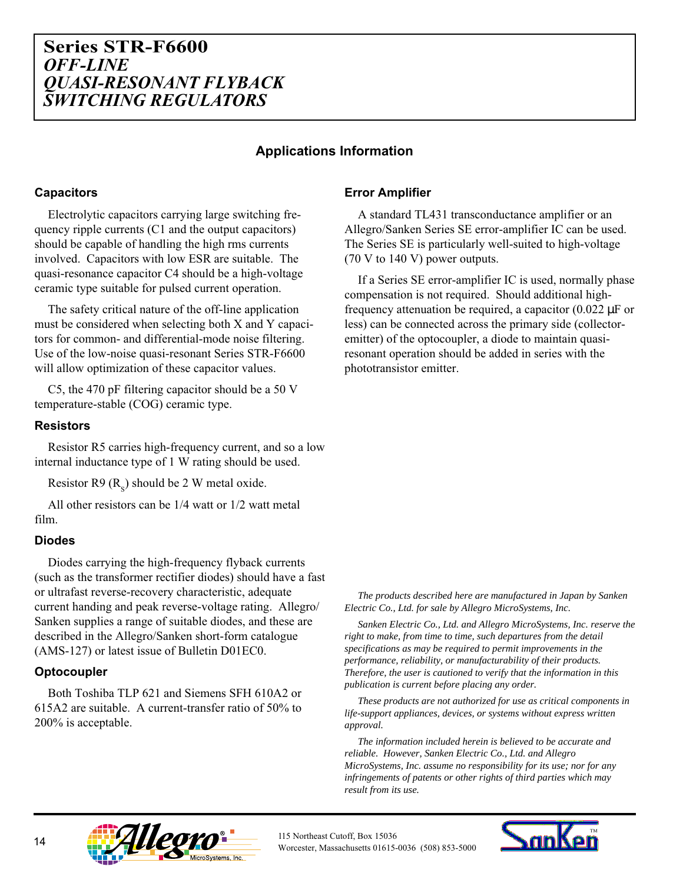#### **Applications Information**

#### **Capacitors**

Electrolytic capacitors carrying large switching frequency ripple currents (C1 and the output capacitors) should be capable of handling the high rms currents involved. Capacitors with low ESR are suitable. The quasi-resonance capacitor C4 should be a high-voltage ceramic type suitable for pulsed current operation.

The safety critical nature of the off-line application must be considered when selecting both X and Y capacitors for common- and differential-mode noise filtering. Use of the low-noise quasi-resonant Series STR-F6600 will allow optimization of these capacitor values.

C5, the 470 pF filtering capacitor should be a 50 V temperature-stable (COG) ceramic type.

#### **Resistors**

Resistor R5 carries high-frequency current, and so a low internal inductance type of 1 W rating should be used.

Resistor R9  $(R<sub>s</sub>)$  should be 2 W metal oxide.

All other resistors can be 1/4 watt or 1/2 watt metal film.

#### **Diodes**

Diodes carrying the high-frequency flyback currents (such as the transformer rectifier diodes) should have a fast or ultrafast reverse-recovery characteristic, adequate current handing and peak reverse-voltage rating. Allegro/ Sanken supplies a range of suitable diodes, and these are described in the Allegro/Sanken short-form catalogue (AMS-127) or latest issue of Bulletin D01EC0.

#### **Optocoupler**

Both Toshiba TLP 621 and Siemens SFH 610A2 or 615A2 are suitable. A current-transfer ratio of 50% to 200% is acceptable.

#### **Error Amplifier**

A standard TL431 transconductance amplifier or an Allegro/Sanken Series SE error-amplifier IC can be used. The Series SE is particularly well-suited to high-voltage (70 V to 140 V) power outputs.

If a Series SE error-amplifier IC is used, normally phase compensation is not required. Should additional highfrequency attenuation be required, a capacitor  $(0.022 \mu F)$  or less) can be connected across the primary side (collectoremitter) of the optocoupler, a diode to maintain quasiresonant operation should be added in series with the phototransistor emitter.

*The products described here are manufactured in Japan by Sanken Electric Co., Ltd. for sale by Allegro MicroSystems, Inc.*

*Sanken Electric Co., Ltd. and Allegro MicroSystems, Inc. reserve the right to make, from time to time, such departures from the detail specifications as may be required to permit improvements in the performance, reliability, or manufacturability of their products. Therefore, the user is cautioned to verify that the information in this publication is current before placing any order.*

*These products are not authorized for use as critical components in life-support appliances, devices, or systems without express written approval.*

*The information included herein is believed to be accurate and reliable. However, Sanken Electric Co., Ltd. and Allegro MicroSystems, Inc. assume no responsibility for its use; nor for any infringements of patents or other rights of third parties which may result from its use.*



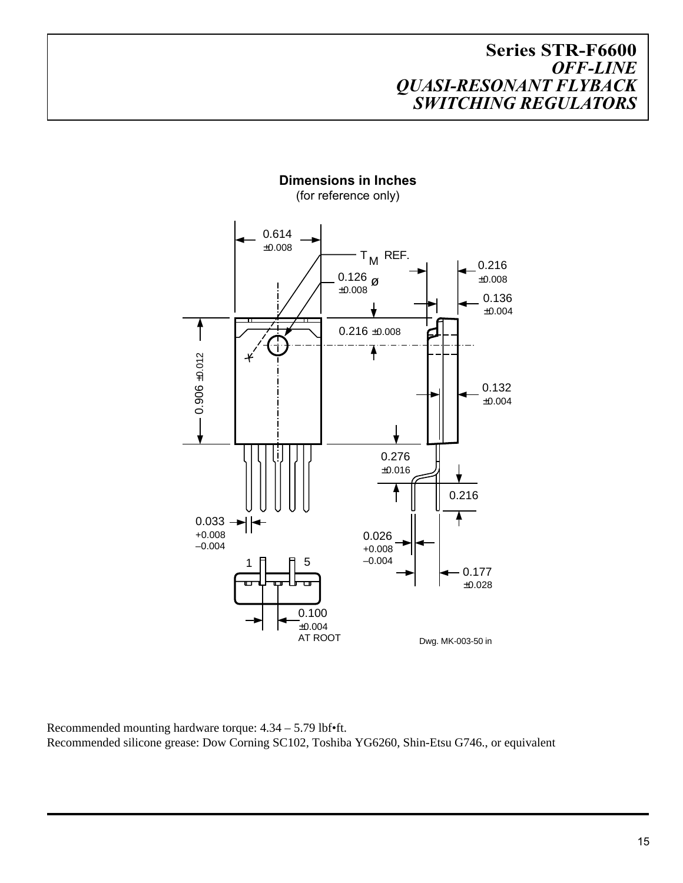

**Dimensions in Inches** (for reference only)

Recommended mounting hardware torque: 4.34 – 5.79 lbf•ft. Recommended silicone grease: Dow Corning SC102, Toshiba YG6260, Shin-Etsu G746., or equivalent